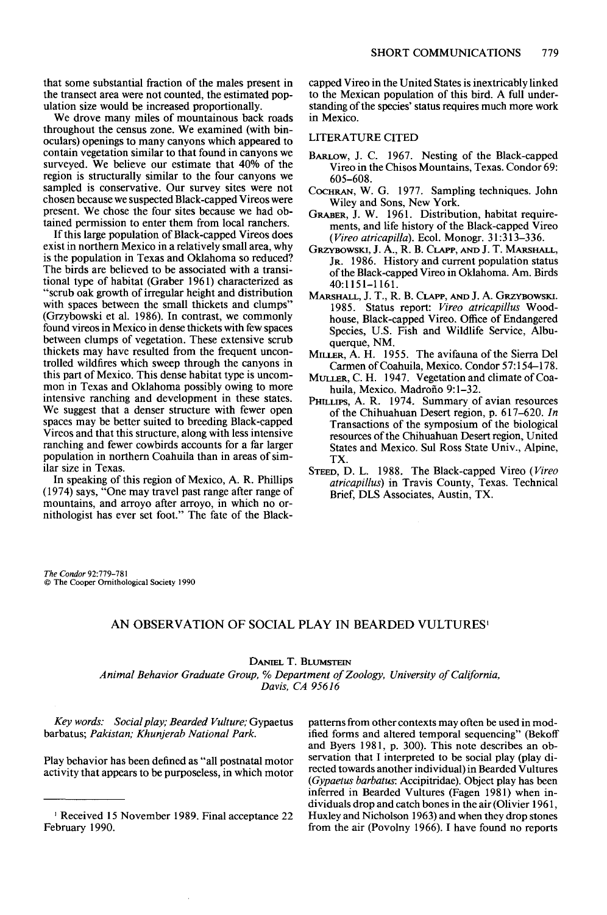**that some substantial fraction of the males present in the transect area were not counted, the estimated population size would be increased proportionally.** 

**We drove many miles of mountainous back roads throughout the census zone. We examined (with binoculars) openings to many canyons which appeared to contain vegetation similar to that found in canyons we surveyed. We believe our estimate that 40% of the region is structurally similar to the four canyons we sampled is conservative. Our survey sites were not chosen because we suspected Black-capped Vireos were present. We chose the four sites because we had obtained permission to enter them from local ranchers.** 

**If this large population of Black-capped Vireos does exist in northern Mexico in a relatively small area, why is the population in Texas and Oklahoma so reduced? The birds are believed to be associated with a transitional type of habitat (Graber 196 1) characterized as "scrub oak growth of irregular height and distribution with spaces between the small thickets and clumps" (Grzybowski et al. 1986). In contrast, we commonly found vireos in Mexico in dense thickets with few spaces between clumps of vegetation. These extensive scrub thickets may have resulted from the frequent uncontrolled wildfires which sweep through the canyons in this part of Mexico. This dense habitat type is uncommon in Texas and Oklahoma possibly owing to more intensive ranching and development in these states. We suggest that a denser structure with fewer open spaces may be better suited to breeding Black-capped Vireos and that this structure, along with less intensive ranching and fewer cowbirds accounts for a far larger population in northern Coahuila than in areas of similar size in Texas.** 

**In speaking of this region of Mexico, A. R. Phillips (1974) says, "One may travel past range after range of mountains, and arroyo after arroyo, in which no ornithologist has ever set foot." The fate of the Black-** **capped Vireo in the United States is inextricably linked to the Mexican population of this bird. A full understanding of the species' status requires much more work in Mexico.** 

### **LITERATURE CITED**

- **BARLOW, J. C. 1967. Nesting of the Black-capped Vireo in the Chisos Mountains, Texas. Condor 69: 605-608.**
- COCHRAN, W. G. 1977. Sampling techniques. John **Wiley and Sons, New York.**
- **GRABER, J. W. 1961. Distribution, habitat requirements, and life history of the Black-capped Vireo (Vireo atricapilla). Ecol. Monogr. 3 1:3 13-336.**
- **GRZYBOWSKI, J.A., R. B. CLAPP, AND J. T. MARSHALL, JR. 1986. History and current population status of the Black-capped Vireo in Oklahoma. Am. Birds 40:1151-1161.**
- MARSHALL, J. T., R. B. CLAPP, AND J. A. GRZYBOWSKI. **1985. Status report: Vireo atricapillus Woodhouse, Black-capped Vireo. Office of Endangered Species, U.S. Fish and Wildlife Service, Albuquerque, NM.**
- **MILLER, A. H. 1955. The avifauna of the Sierra Del Carmen of Coahuila, Mexico. Condor 57: 154-178.**
- **MULLER, C. H. 1947. Vegetation and climate of Coahuila, Mexico. Madrofio 9: l-32.**
- **PHILLIPS, A. R. 1974. Summary of avian resources of the Chihuahuan Desert region, p. 611-620. In Transactions of the symposium of the biological resources of the Chihuahuan Desert region, United**  States and Mexico. Sul Ross State Univ., Alpine, **TX.**
- **STEED, D. L. 1988. The Black-capped Vireo (Vireo atricapillus) in Travis County, Texas. Technical Brief, DLS Associates, Austin, TX.**

**The Condor 92:779-781 0 The Cooper Ornithological Society 1990** 

# **AN OBSERVATION OF SOCIAL PLAY IN BEARDED VULTURES'**

### **DANIEL T. BLUMSTEIN**

**Animal Behavior Graduate Group, % Department of Zoology, University of California, Davis, CA 95616** 

Key words: Social play; Bearded Vulture; Gypaetus patterns from other contexts may often be used in modbarbatus; Pakistan; Khunjerab National Park.<br> **ified forms and altered temporal sequencing**" (Bekoff

**activity that appears to be purposeless, in which motor** 

ified forms and altered temporal sequencing" (Bekoff and Byers 1981, p. 300). This note describes an ob-**Play behavior has been defined as "all postnatal motor" Servation that I interpreted to be social play (play di-**<br> **Play to be purposedess in which motor activity that appeared Vultures** (Gypaetus barbatus: Accipitridae). Object play has been inferred in Bearded Vultures (Fagen 1981) when in**dividuals drop and catch bones in the air (Olivier 196 1, ' Received 15 November 1989. Final acceptance 22 Huxley and Nicholson 1963) and when they drop stones**  from the air (Povolny 1966). I have found no reports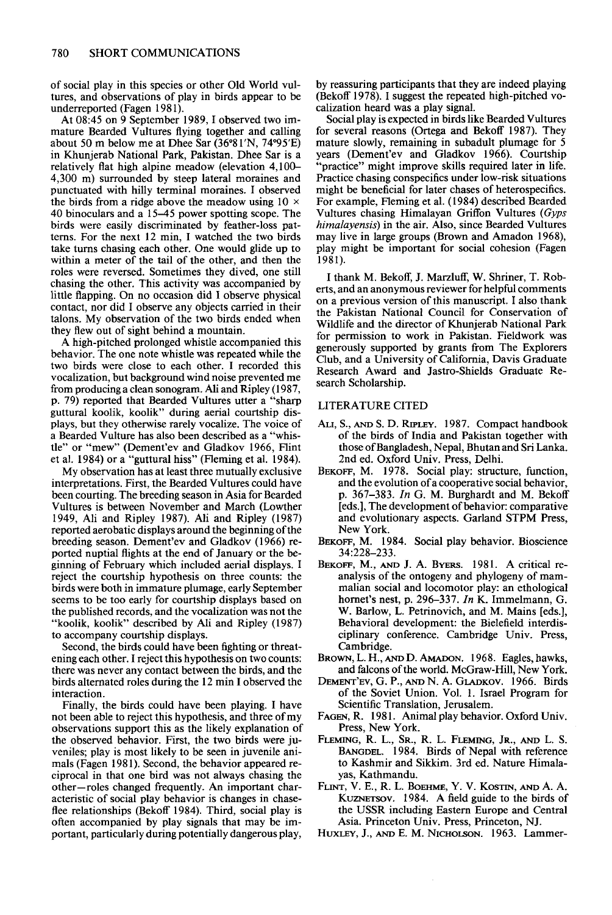**of social play in this species or other Old World vultures, and observations of play in birds appear to be underreported (Fagen 198 1).** 

**At 08:45 on 9 September 1989, I observed two im**the birds from a ridge above the meadow using  $10 \times$ **mature Bearded Vultures flying together and calling roles were reversed. Sometimes they dived, one still about 50 m below me at Dhee Sar (36"8 1'N. 74"95'E) chasing the other. This activity was accompanied by in Khunjerab National Park, Pakistan. Dhee Sar is a 40 binoculars and a 15-45 power spotting scope. The**  relatively flat high alpine meadow (elevation 4,100– **little flapping. On no occasion did I observe physical 4,300 m) surrounded by steep lateral moraines and birds were easily discriminated by feather-loss patpunctuated with hilly terminal moraines. I observed contact, nor did I observe any objects carried in their**  terns. For the next 12 min, I watched the two birds **talons. My observation of the two birds ended when take turns chasing each other. One would glide up to they flew out of sight behind a mountain. within a meter of the tail of the other, and then the** 

**p. 79) reported that Bearded Vultures utter a "sharp guttural koolik, koolik" during aerial courtship displays, but they otherwise rarely vocalize. The voice of a Bearded Vulture has also been described as a "whis-A high-pitched prolonged whistle accompanied this behavior. The one note whistle was repeated while the two birds were close to each other. I recorded this vocalization, but background wind noise prevented me**  from producing a clean sonogram. Ali and Ripley (1987, **tle" or "mew" (Dement'ev and Gladkov 1966, Flint et al. 1984) or a "guttural hiss" (Fleming et al. 1984).** 

**My observation has at least three mutually exclusive interpretations. First, the Bearded Vultures could have been courting. The breeding season in Asia for Bearded Vultures is between November and March (Lowther 1949, Ah and Ripley 1987). Ah and Ripley (1987) reported acrobatic displays around the beginning of the breeding season. Dement'ev and Gladkov (1966) reported nuptial flights at the end of January or the beginning of February which included aerial displays. I reject the courtship hypothesis on three counts: the birds were both in immature plumage, early September seems to be too early for courtship displays based on the published records, and the vocalization was not the**  "koolik, koolik" described by Ali and Ripley (1987) **to accompany courtship displays.** 

**Second, the birds could have been fighting or threatening each other. I reject this hypothesis on two counts: there was never anv contact between the birds. and the birds alternated roies during the 12 min I observed the DEMENT'EV, G. P., AND N. A. GLADKOV. 1966. Birds** 

Finally, the birds could have been playing. I have not been able to reject this hypothesis, and three of my **observations support this as the likely explanation of the observed behavior. First. the two birds were iu- FLEMING, R. L., SR., R. L. FLEMING, JR., AND L. S. veniles; play is most likely to be seen in juvenile ani**mals (Fagen 1981). Second, the behavior appeared re**ciprocal in that one bird was not always chasing the other-roles changed frequently. An important characteristic of social play behavior is changes in chaseflee relationships (Bekoff 1984). Third, social play is often accompanied by play signals that may be important, particularly during potentially dangerous play,** 

**by reassuring participants that they are indeed playing**  (Bekoff 1978). I suggest the repeated high-pitched vo**calization heard was a play signal.** 

**For example, Fleming et al. (1984) described Bearded Vultures chasing Himalayan Griffon Vultures (Gyps Social play is expected in birds like Bearded Vultures for several reasons (Ortega and Bekoff 1987). They mature slowly, remaining in subadult plumage for 5 himalayensis) in the air. Also, since Bearded Vultures years (Dement'ev and Gladkov 1966). Courtship "practice" might improve skills required later in life. may live in large groups (Brown and Amadon 1968), Practice chasing conspecifics under low-risk situations might be beneficial for later chases of heterospecifics. play might be important for social cohesion (Fagen 1981).** 

**I thank M. Bekoff, J. Marzluff, W. Shriner, T. Roberts, and an anonymous reviewer for helpful comments on a previous version of this manuscript. I also thank the Pakistan National Council for Conservation of Wildlife and the director of Khunjerab National Park for permission to work in Pakistan. Fieldwork was generously supported by grants from The Explorers Club, and a University of California, Davis Graduate Research Award and Jastro-Shields Graduate Research Scholarship.** 

# **LITERATURE CITED**

- **those of Bangladesh, Nepal, Bhutan and Sri Lanka. 2nd ed. Oxford Univ. Press. Delhi. ALI, S., AND S. D. RIPLEY. 1987. Compact handbook of the birds of India and Pakistan together with**
- BEKOFF, M. 1978. Social play: structure, function, **and the evolution of a cooperative social behavior; D. 367-383. In G. M. Burzhardt and M. Bekoff ieds.], The development of behavior: comparative and evolutionary aspects. Garland STPM Press, New York.**
- **BEKOFF, M. 1984. Social play behavior. Bioscience 34:228-233.**
- BEKOFF, M., AND J. A. BYERS. 1981. A critical re**analysis of the ontogeny and phylogeny of mammalian social and locomotor play: an ethological hornet's nest, p. 296-337. In K. Immehnann, G. W. Barlow, L. Petrinovich, and M. Mains [eds.],**  Behavioral development: the Bielefield interdis**ciplinaty conference. Cambridge Univ. Press, Cambridge.**
- **BROWN, L. H., AND D. AMADON. 1968. Eagles, hawks, and falcons of the world. McGraw-Hill, New York.**
- interaction.<br> **interaction** of the Soviet Union. Vol. 1. Israel Program for<br>
Finally, the birds could have been playing. I have<br>
Scientific Translation, Jerusalem.
	- FAGEN, R. 1981. Animal play behavior. Oxford Univ. Press, New York.
	- **BANGDEL. 1984. Birds of Nepal with reference to Kashmir and Sikkim. 3rd ed. Nature Himalayas, Kathmandu.**
	- **FLINT, V. E., R. L. BOEHME, Y. V. KOSTIN, AND A. A.**  KUZNETSOV. 1984. A field guide to the birds of **the USSR including Eastern Europe and Central Asia. Princeton Univ. Press, Princeton, NJ.**
	- **HUXLEY, J., AND E. M. NICHOLSON. 1963. Lammer-**